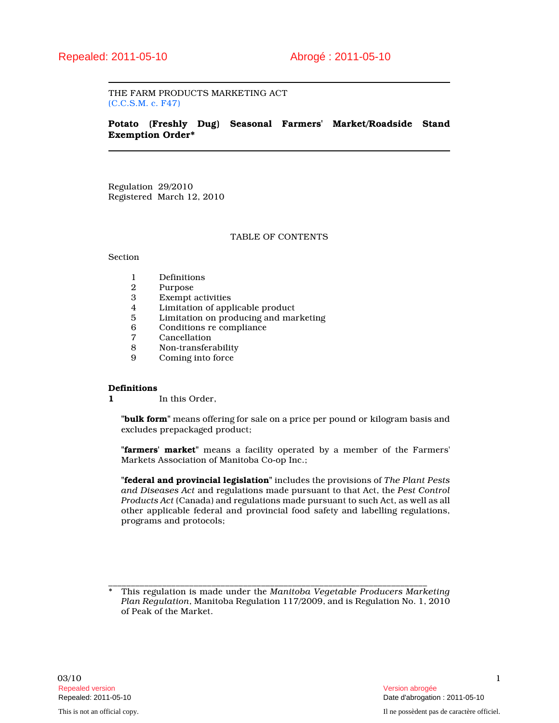THE FARM PRODUCTS MARKETING ACT (C.C.S.M. c. F47)

# Potato (Freshly Dug) Seasonal Farmers' Market/Roadside Stand Exemption Order\*

Regulation 29/2010 Registered March 12, 2010

# TABLE OF CONTENTS

#### Section

- 1 Definitions<br>2 Purpose
- 2 Purpose<br>3 Exempt a
- 3 Exempt activities<br>4 Limitation of app
- 4 Limitation of applicable product<br>5 Limitation on producing and ma
- 5 Limitation on producing and marketing
- 6 Conditions re compliance
- 7 Cancellation<br>8 Non-transfer
- 8 Non-transferability
- Coming into force

## **Definitions**

1 In this Order,

"bulk form" means offering for sale on a price per pound or kilogram basis and excludes prepackaged product;

"farmers' market" means a facility operated by a member of the Farmers' Markets Association of Manitoba Co-op Inc.;

"federal and provincial legislation" includes the provisions of The Plant Pests and Diseases Act and regulations made pursuant to that Act, the Pest Control Products Act (Canada) and regulations made pursuant to such Act, as well as all other applicable federal and provincial food safety and labelling regulations, programs and protocols;

\_\_\_\_\_\_\_\_\_\_\_\_\_\_\_\_\_\_\_\_\_\_\_\_\_\_\_\_\_\_\_\_\_\_\_\_\_\_\_\_\_\_\_\_\_\_\_\_\_\_\_\_\_\_\_\_\_\_\_\_\_\_\_\_\_\_\_\_\_\_\_ \* This regulation is made under the Manitoba Vegetable Producers Marketing Plan Regulation, Manitoba Regulation 117/2009, and is Regulation No. 1, 2010 of Peak of the Market.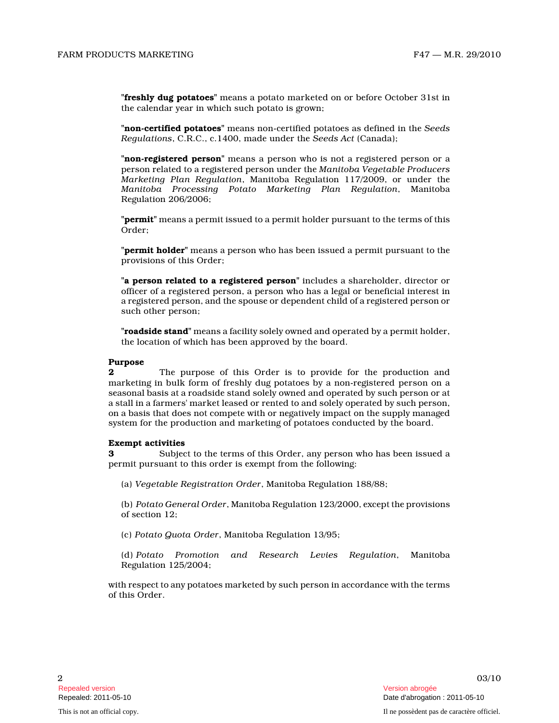"freshly dug potatoes" means a potato marketed on or before October 31st in the calendar year in which such potato is grown;

"non-certified potatoes" means non-certified potatoes as defined in the Seeds Regulations, C.R.C., c.1400, made under the Seeds Act (Canada);

"**non-registered person**" means a person who is not a registered person or a person related to a registered person under the Manitoba Vegetable Producers Marketing Plan Regulation, Manitoba Regulation 117/2009, or under the Manitoba Processing Potato Marketing Plan Regulatio n, Manitoba Regulation 206/2006;

"**permit**" means a permit issued to a permit holder pursuant to the terms of this Order;

**"permit holder"** means a person who has been issued a permit pursuant to the provisions of this Order;

"a person related to a registered person" includes a shareholder, director or officer of a registered person, a person who has a legal or beneficial interest in a registered person, and the spouse or dependent child of a registered person or such other person;

"roadside stand" means a facility solely owned and operated by a permit holder, the location of which has been approved by the board.

# Purpose<br>2

The purpose of this Order is to provide for the production and marketing in bulk form of freshly dug potatoes by a non-registered person on a seasonal basis at a roadside stand solely owned and operated by such person or at a stall in a farmers' market leased or rented to and solely operated by such person, on a basis that does not compete with or negatively impact on the supply managed system for the production and marketing of potatoes conducted by the board.

## Exempt activities

3 Subject to the terms of this Order, any person who has been issued a permit pursuant to this order is exempt from the following:

(a) Vegetable Registration Order, Manitoba Regulation 188/88;

(b) Potato General Order, Manitoba Regulation 123/2000, except the provisions of section 12;

(c) Potato Quota Order, Manitoba Regulation 13/95;

(d) Potato Promotion and Research Levies Regulation, Manitoba Regulation 125/2004;

with respect to any potatoes marketed by such person in accordance with the terms of this Order.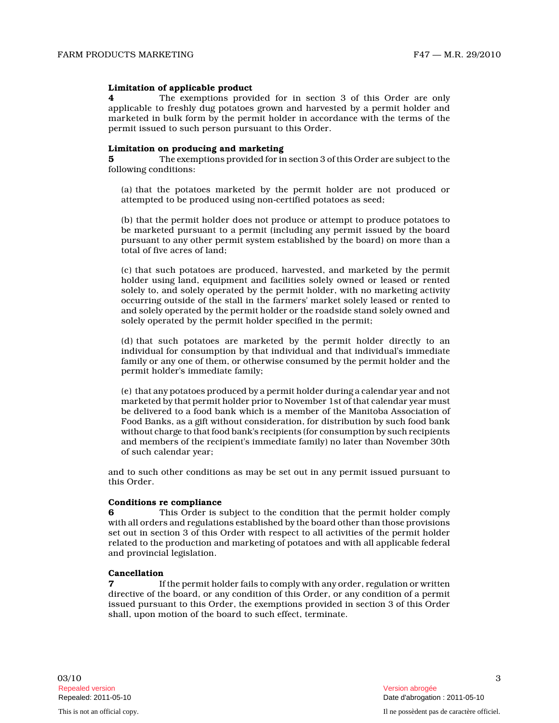#### Limitation of applicable product

4 The exemptions provided for in section 3 of this Order are only applicable to freshly dug potatoes grown and harvested by a permit holder and marketed in bulk form by the permit holder in accordance with the terms of the permit issued to such person pursuant to this Order .

## Limitation on producing and marketing

5 The exemptions provided for in section 3 of this Order are subject to the following conditions:

(a) that the potatoes marketed by the permit holder are not produced or attempted to be produced using non-certified potatoes as seed;

(b) that the permit holder does not produce or attempt to produce potatoes to be marketed pursuant to a permit (including any permit issued by the board pursuant to any other permit system established by the board) on more than a total of five acres of land;

(c) that such potatoes are produced, harvested, and marketed by the permit holder using land, equipment and facilities solely owned or leased or rented solely to, and solely operated by the permit holder, with no marketing activity occurring outside of the stall in the farmers' market solely leased or rented to and solely operated by the permit holder or the roadside stand solely owned and solely operated by the permit holder specified in the permit;

(d) that such potatoes are marketed by the permit holder directly to an individual for consumption by that individual and that individual's immediate family or any one of them, or otherwise consumed by the permit holder and the permit holder's immediate family;

(e) that any potatoes produced by a permit holder during a calendar year and not marketed by that permit holder prior to November 1st of that calendar year must be delivered to a food bank which is a member of the Manitoba Association of Food Banks, as a gift without consideration, for distribution by such food bank without charge to that food bank's recipients (for consumption by such recipients and members of the recipient's immediate family) no later than November 30th of such calendar year;

and to such other conditions as may be set out in any permit issued pursuant to this Order.

#### Conditions re compliance

6 This Order is subject to the condition that the permit holder comply with all orders and regulations established by the board other than those provisions set out in section 3 of this Order with respect to all activities of the permit holder related to the production and marketing of potatoes and with all applicable federal and provincial legislation.

#### Cancellation

7 If the permit holder fails to comply with any order, regulation or written directive of the board, or any condition of this Order, or any condition of a permit issued pursuant to this Order, the exemptions provided in section 3 of this Order shall, upon motion of the board to such effect, terminate.